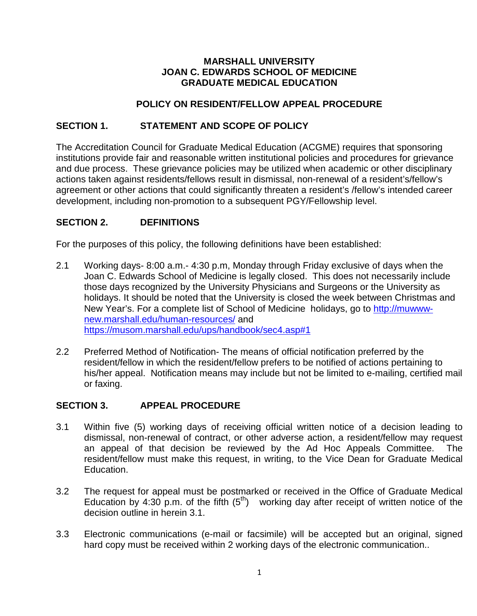### **MARSHALL UNIVERSITY JOAN C. EDWARDS SCHOOL OF MEDICINE GRADUATE MEDICAL EDUCATION**

# **POLICY ON RESIDENT/FELLOW APPEAL PROCEDURE**

## **SECTION 1. STATEMENT AND SCOPE OF POLICY**

The Accreditation Council for Graduate Medical Education (ACGME) requires that sponsoring institutions provide fair and reasonable written institutional policies and procedures for grievance and due process. These grievance policies may be utilized when academic or other disciplinary actions taken against residents/fellows result in dismissal, non-renewal of a resident's/fellow's agreement or other actions that could significantly threaten a resident's /fellow's intended career development, including non-promotion to a subsequent PGY/Fellowship level.

## **SECTION 2. DEFINITIONS**

For the purposes of this policy, the following definitions have been established:

- 2.1 Working days- 8:00 a.m.- 4:30 p.m, Monday through Friday exclusive of days when the Joan C. Edwards School of Medicine is legally closed. This does not necessarily include those days recognized by the University Physicians and Surgeons or the University as holidays. It should be noted that the University is closed the week between Christmas and New Year's. For a complete list of School of Medicine holidays, go to [http://muwww](http://muwww-new.marshall.edu/human-resources/)[new.marshall.edu/human-resources/](http://muwww-new.marshall.edu/human-resources/) and <https://musom.marshall.edu/ups/handbook/sec4.asp#1>
- 2.2 Preferred Method of Notification- The means of official notification preferred by the resident/fellow in which the resident/fellow prefers to be notified of actions pertaining to his/her appeal. Notification means may include but not be limited to e-mailing, certified mail or faxing.

### **SECTION 3. APPEAL PROCEDURE**

- 3.1 Within five (5) working days of receiving official written notice of a decision leading to dismissal, non-renewal of contract, or other adverse action, a resident/fellow may request an appeal of that decision be reviewed by the Ad Hoc Appeals Committee. The resident/fellow must make this request, in writing, to the Vice Dean for Graduate Medical Education.
- 3.2 The request for appeal must be postmarked or received in the Office of Graduate Medical Education by 4:30 p.m. of the fifth  $(5<sup>th</sup>)$  working day after receipt of written notice of the decision outline in herein 3.1.
- 3.3 Electronic communications (e-mail or facsimile) will be accepted but an original, signed hard copy must be received within 2 working days of the electronic communication..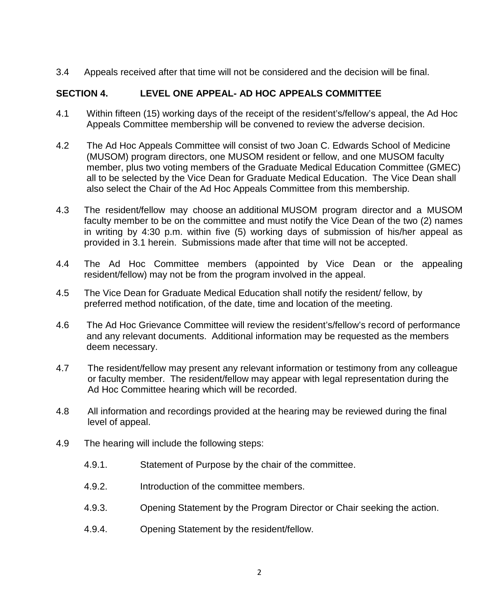3.4 Appeals received after that time will not be considered and the decision will be final.

# **SECTION 4. LEVEL ONE APPEAL- AD HOC APPEALS COMMITTEE**

- 4.1 Within fifteen (15) working days of the receipt of the resident's/fellow's appeal, the Ad Hoc Appeals Committee membership will be convened to review the adverse decision.
- 4.2 The Ad Hoc Appeals Committee will consist of two Joan C. Edwards School of Medicine (MUSOM) program directors, one MUSOM resident or fellow, and one MUSOM faculty member, plus two voting members of the Graduate Medical Education Committee (GMEC) all to be selected by the Vice Dean for Graduate Medical Education. The Vice Dean shall also select the Chair of the Ad Hoc Appeals Committee from this membership.
- 4.3 The resident/fellow may choose an additional MUSOM program director and a MUSOM faculty member to be on the committee and must notify the Vice Dean of the two (2) names in writing by 4:30 p.m. within five (5) working days of submission of his/her appeal as provided in 3.1 herein. Submissions made after that time will not be accepted.
- 4.4 The Ad Hoc Committee members (appointed by Vice Dean or the appealing resident/fellow) may not be from the program involved in the appeal.
- 4.5 The Vice Dean for Graduate Medical Education shall notify the resident/ fellow, by preferred method notification, of the date, time and location of the meeting.
- 4.6 The Ad Hoc Grievance Committee will review the resident's/fellow's record of performance and any relevant documents. Additional information may be requested as the members deem necessary.
- 4.7 The resident/fellow may present any relevant information or testimony from any colleague or faculty member. The resident/fellow may appear with legal representation during the Ad Hoc Committee hearing which will be recorded.
- 4.8 All information and recordings provided at the hearing may be reviewed during the final level of appeal.
- 4.9 The hearing will include the following steps:
	- 4.9.1. Statement of Purpose by the chair of the committee.
	- 4.9.2. Introduction of the committee members.
	- 4.9.3. Opening Statement by the Program Director or Chair seeking the action.
	- 4.9.4. Opening Statement by the resident/fellow.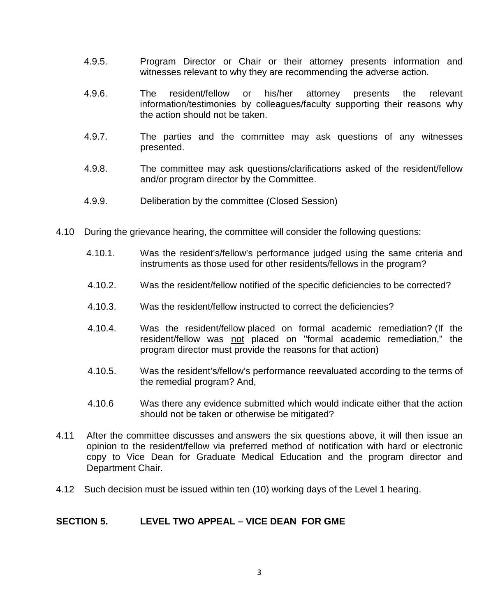- 4.9.5. Program Director or Chair or their attorney presents information and witnesses relevant to why they are recommending the adverse action.
- 4.9.6. The resident/fellow or his/her attorney presents the relevant information/testimonies by colleagues/faculty supporting their reasons why the action should not be taken.
- 4.9.7. The parties and the committee may ask questions of any witnesses presented.
- 4.9.8. The committee may ask questions/clarifications asked of the resident/fellow and/or program director by the Committee.
- 4.9.9. Deliberation by the committee (Closed Session)
- 4.10 During the grievance hearing, the committee will consider the following questions:
	- 4.10.1. Was the resident's/fellow's performance judged using the same criteria and instruments as those used for other residents/fellows in the program?
	- 4.10.2. Was the resident/fellow notified of the specific deficiencies to be corrected?
	- 4.10.3. Was the resident/fellow instructed to correct the deficiencies?
	- 4.10.4. Was the resident/fellow placed on formal academic remediation? (If the resident/fellow was not placed on "formal academic remediation," the program director must provide the reasons for that action)
	- 4.10.5. Was the resident's/fellow's performance reevaluated according to the terms of the remedial program? And,
	- 4.10.6 Was there any evidence submitted which would indicate either that the action should not be taken or otherwise be mitigated?
- 4.11 After the committee discusses and answers the six questions above, it will then issue an opinion to the resident/fellow via preferred method of notification with hard or electronic copy to Vice Dean for Graduate Medical Education and the program director and Department Chair.
- 4.12 Such decision must be issued within ten (10) working days of the Level 1 hearing.

### **SECTION 5. LEVEL TWO APPEAL – VICE DEAN FOR GME**